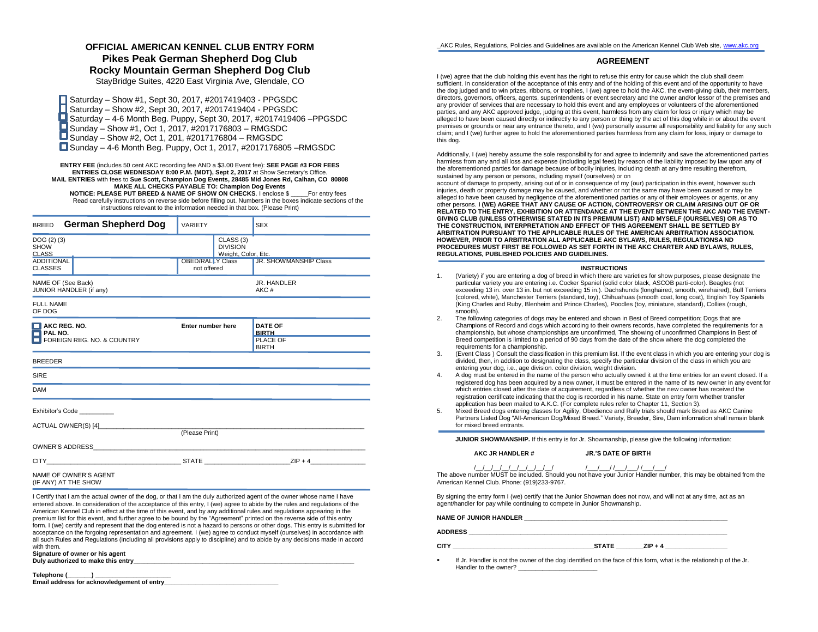# **OFFICIAL AMERICAN KENNEL CLUB ENTRY FORM Pikes Peak German Shepherd Dog Club Rocky Mountain German Shepherd Dog Club**  StayBridge Suites, 4220 East Virginia Ave, Glendale, CO

Saturday – Show #1, Sept 30, 2017, #2017419403 - PPGSDC Saturday – Show #2, Sept 30, 2017, #2017419404 - PPGSDC Saturday – 4-6 Month Beg. Puppy, Sept 30, 2017, #2017419406 –PPGSDC  $\Box$  Sunday – Show #1, Oct 1, 2017, #2017176803 – RMGSDC Sunday – Show #2, Oct 1, 201, #2017176804 – RMGSDC Sunday – 4-6 Month Beg. Puppy, Oct 1, 2017, #2017176805 –RMGSDC

#### **ENTRY FEE** (includes 50 cent AKC recording fee AND a \$3.00 Event fee): **SEE PAGE #3 FOR FEES ENTRIES CLOSE WEDNESDAY 8:00 P.M. (MDT), Sept 2, 2017** at Show Secretary's Office. **MAIL ENTRIES** with fees to **Sue Scott, Champion Dog Events, 28485 Mid Jones Rd, Calhan, CO 80808 MAKE ALL CHECKS PAYABLE TO: Champion Dog Events NOTICE: PLEASE PUT BREED & NAME OF SHOW ON CHECKS**. I enclose \$ \_\_\_\_\_For entry fees Read carefully instructions on reverse side before filling out. Numbers in the boxes indicate sections of the instructions relevant to the information needed in that box. (Please Print)

| <b>German Shepherd Dog</b><br><b>BREED</b>                   | <b>VARIETY</b>                         |                                                                | <b>SEX</b>                                                 |
|--------------------------------------------------------------|----------------------------------------|----------------------------------------------------------------|------------------------------------------------------------|
| DOG (2) (3)<br><b>SHOW</b><br><b>CLASS</b>                   |                                        | CLASS <sub>(3)</sub><br><b>DIVISION</b><br>Weight, Color, Etc. |                                                            |
| <b>ADDITIONAL</b><br><b>CLASSES</b>                          | <b>OBED/RALLY Class</b><br>not offered |                                                                | <b>JR. SHOWMANSHIP Class</b>                               |
| NAME OF (See Back)<br>JUNIOR HANDLER (if any)                |                                        |                                                                | JR. HANDLER<br>AKC#                                        |
| <b>FULL NAME</b><br>OF DOG                                   |                                        |                                                                |                                                            |
| AKC REG. NO.<br><b>PAL NO.</b><br>FOREIGN REG. NO. & COUNTRY | Enter number here                      |                                                                | <b>DATE OF</b><br><b>BIRTH</b><br>PLACE OF<br><b>BIRTH</b> |
| <b>BREEDER</b>                                               |                                        |                                                                |                                                            |
| <b>SIRE</b>                                                  |                                        |                                                                |                                                            |
| DAM                                                          |                                        |                                                                |                                                            |
| Exhibitor's Code                                             |                                        |                                                                |                                                            |
|                                                              | (Please Print)                         |                                                                |                                                            |
|                                                              |                                        |                                                                |                                                            |
| CITY ZIP + 4                                                 |                                        |                                                                |                                                            |
| NAME OF OWNER'S AGENT<br>(IF ANY) AT THE SHOW                |                                        |                                                                |                                                            |

I Certify that I am the actual owner of the dog, or that I am the duly authorized agent of the owner whose name I have entered above. In consideration of the acceptance of this entry, I (we) agree to abide by the rules and regulations of the American Kennel Club in effect at the time of this event, and by any additional rules and regulations appearing in the premium list for this event, and further agree to be bound by the "Agreement" printed on the reverse side of this entry form. I (we) certify and represent that the dog entered is not a hazard to persons or other dogs. This entry is submitted for acceptance on the forgoing representation and agreement. I (we) agree to conduct myself (ourselves) in accordance with all such Rules and Regulations (including all provisions apply to discipline) and to abide by any decisions made in accord with them.

**Signature of owner or his agent** Duly authorized to make this entry

**Telephone (\_\_\_\_\_\_\_) \_\_\_\_\_\_\_\_\_\_\_\_\_\_\_\_\_\_\_\_\_\_ Email address for acknowledgement of entry\_\_\_\_\_\_\_\_\_\_\_\_\_\_\_\_\_\_\_\_\_\_\_\_\_\_\_\_\_\_\_\_\_**

**\_**AKC Rules, Regulations, Policies and Guidelines are available on the American Kennel Club Web site[, www.akc.org](http://www.akc.org/)

## **AGREEMENT**

I (we) agree that the club holding this event has the right to refuse this entry for cause which the club shall deem sufficient. In consideration of the acceptance of this entry and of the holding of this event and of the opportunity to have the dog judged and to win prizes, ribbons, or trophies, I (we) agree to hold the AKC, the event-giving club, their members, directors, governors, officers, agents, superintendents or event secretary and the owner and/or lessor of the premises and any provider of services that are necessary to hold this event and any employees or volunteers of the aforementioned parties, and any AKC approved judge, judging at this event, harmless from any claim for loss or injury which may be alleged to have been caused directly or indirectly to any person or thing by the act of this dog while in or about the event premises or grounds or near any entrance thereto, and I (we) personally assume all responsibility and liability for any such claim; and I (we) further agree to hold the aforementioned parties harmless from any claim for loss, injury or damage to this dog.

Additionally, I (we) hereby assume the sole responsibility for and agree to indemnify and save the aforementioned parties harmless from any and all loss and expense (including legal fees) by reason of the liability imposed by law upon any of the aforementioned parties for damage because of bodily injuries, including death at any time resulting therefrom, sustained by any person or persons, including myself (ourselves) or on

account of damage to property, arising out of or in consequence of my (our) participation in this event, however such injuries, death or property damage may be caused, and whether or not the same may have been caused or may be alleged to have been caused by negligence of the aforementioned parties or any of their employees or agents, or any other persons. **I (WE) AGREE THAT ANY CAUSE OF ACTION, CONTROVERSY OR CLAIM ARISING OUT OF OR RELATED TO THE ENTRY, EXHIBITION OR ATTENDANCE AT THE EVENT BETWEEN THE AKC AND THE EVENT-GIVING CLUB (UNLESS OTHERWISE STATED IN ITS PREMIUM LIST) AND MYSELF (OURSELVES) OR AS TO THE CONSTRUCTION, INTERPRETATION AND EFFECT OF THIS AGREEMENT SHALL BE SETTLED BY ARBITRATION PURSUANT TO THE APPLICABLE RULES OF THE AMERICAN ARBITRATION ASSOCIATION. HOWEVER, PRIOR TO ARBITRATION ALL APPLICABLE AKC BYLAWS, RULES, REGULATIONSA ND PROCEDURES MUST FIRST BE FOLLOWED AS SET FORTH IN THE AKC CHARTER AND BYLAWS, RULES, REGULATIONS, PUBLISHED POLICIES AND GUIDELINES.**

### **INSTRUCTIONS**

- 1. (Variety) if you are entering a dog of breed in which there are varieties for show purposes, please designate the particular variety you are entering i.e. Cocker Spaniel (solid color black, ASCOB parti-color). Beagles (not exceeding 13 in. over 13 in. but not exceeding 15 in.). Dachshunds (longhaired, smooth, wirehaired), Bull Terriers (colored, white), Manchester Terriers (standard, toy), Chihuahuas (smooth coat, long coat), English Toy Spaniels (King Charles and Ruby, Blenheim and Prince Charles), Poodles (toy, miniature, standard), Collies (rough, smooth).
- 2. The following categories of dogs may be entered and shown in Best of Breed competition; Dogs that are Champions of Record and dogs which according to their owners records, have completed the requirements for a championship, but whose championships are unconfirmed, The showing of unconfirmed Champions in Best of Breed competition is limited to a period of 90 days from the date of the show where the dog completed the requirements for a championship.
- 3. (Event Class ) Consult the classification in this premium list. If the event class in which you are entering your dog is divided, then, in addition to designating the class, specify the particular division of the class in which you are entering your dog, i.e., age division. color division, weight division.
- 4. A dog must be entered in the name of the person who actually owned it at the time entries for an event closed. If a registered dog has been acquired by a new owner, it must be entered in the name of its new owner in any event for which entries closed after the date of acquirement, regardless of whether the new owner has received the registration certificate indicating that the dog is recorded in his name. State on entry form whether transfer application has been mailed to A.K.C. (For complete rules refer to Chapter 11, Section 3).
- 5. Mixed Breed dogs entering classes for Agility, Obedience and Rally trials should mark Breed as AKC Canine Partners Listed Dog "All-American Dog/Mixed Breed." Variety, Breeder, Sire, Dam information shall remain blank for mixed breed entrants.

**JUNIOR SHOWMANSHIP.** If this entry is for Jr. Showmanship, please give the following information:

**AKC JR HANDLER # JR.'S DATE OF BIRTH**

/\_\_/\_\_/\_\_/\_\_/\_\_/\_\_/\_\_/\_\_/\_\_/ /\_\_\_/\_\_\_/ /\_\_\_/\_\_\_/ /\_\_\_/\_\_\_/

The above number MUST be included. Should you not have your Junior Handler number, this may be obtained from the American Kennel Club. Phone: (919)233-9767.

By signing the entry form I (we) certify that the Junior Showman does not now, and will not at any time, act as an agent/handler for pay while continuing to compete in Junior Showmanship.

NAME OF JUNIOR HANDLER

**ADDRESS \_\_\_\_\_\_\_\_\_\_\_\_\_\_\_\_\_\_\_\_\_\_\_\_\_\_\_\_\_\_\_\_\_\_\_\_\_\_\_\_\_\_\_\_\_\_\_\_\_\_\_\_\_\_\_\_\_\_\_\_\_\_\_\_\_\_\_\_\_\_\_\_\_\_\_**

**CITY \_\_\_\_\_\_\_\_\_\_\_\_\_\_\_\_\_\_\_\_\_\_\_\_\_\_\_\_\_\_\_\_\_\_\_\_\_\_\_\_\_STATE \_\_\_\_\_\_\_\_ZIP + 4 \_\_\_\_\_\_\_\_\_\_\_\_\_\_\_\_\_\_**

▪ If Jr. Handler is not the owner of the dog identified on the face of this form, what is the relationship of the Jr. Handler to the owner? \_\_\_\_\_\_\_\_\_\_\_\_\_\_\_\_\_\_\_\_\_\_\_